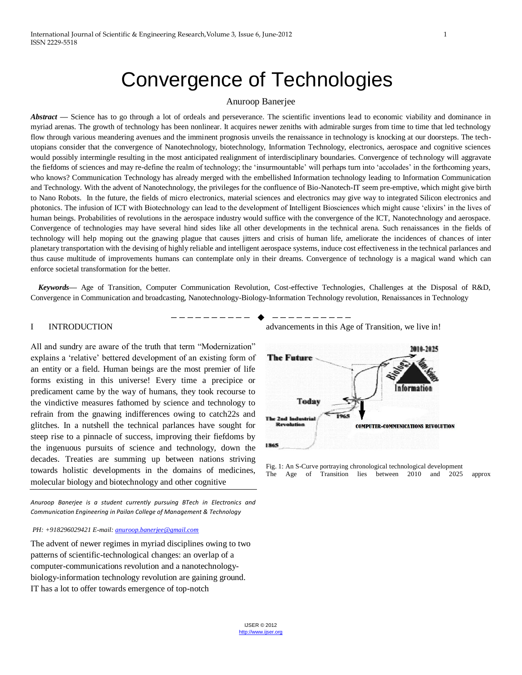# Convergence of Technologies

## Anuroop Banerjee

*Abstract* — Science has to go through a lot of ordeals and perseverance. The scientific inventions lead to economic viability and dominance in myriad arenas. The growth of technology has been nonlinear. It acquires newer zeniths with admirable surges from time to time that led technology flow through various meandering avenues and the imminent prognosis unveils the renaissance in technology is knocking at our doorsteps. The techutopians consider that the convergence of Nanotechnology, biotechnology, Information Technology, electronics, aerospace and cognitive sciences would possibly intermingle resulting in the most anticipated realignment of interdisciplinary boundaries. Convergence of technology will aggravate the fiefdoms of sciences and may re-define the realm of technology; the 'insurmountable' will perhaps turn into 'accolades' in the forthcoming years, who knows? Communication Technology has already merged with the embellished Information technology leading to Information Communication and Technology. With the advent of Nanotechnology, the privileges for the confluence of Bio-Nanotech-IT seem pre-emptive, which might give birth to Nano Robots. In the future, the fields of micro electronics, material sciences and electronics may give way to integrated Silicon electronics and photonics. The infusion of ICT with Biotechnology can lead to the development of Intelligent Biosciences which might cause ‗elixirs' in the lives of human beings. Probabilities of revolutions in the aerospace industry would suffice with the convergence of the ICT, Nanotechnology and aerospace. Convergence of technologies may have several hind sides like all other developments in the technical arena. Such renaissances in the fields of technology will help moping out the gnawing plague that causes jitters and crisis of human life, ameliorate the incidences of chances of inter planetary transportation with the devising of highly reliable and intelligent aerospace systems, induce cost effectiveness in the technical parlances and thus cause multitude of improvements humans can contemplate only in their dreams. Convergence of technology is a magical wand which can enforce societal transformation for the better.

 *Keywords—* Age of Transition, Computer Communication Revolution, Cost-effective Technologies, Challenges at the Disposal of R&D, Convergence in Communication and broadcasting, Nanotechnology-Biology-Information Technology revolution, Renaissances in Technology

————————— ♦ —————————

## I INTRODUCTION

All and sundry are aware of the truth that term "Modernization" explains a 'relative' bettered development of an existing form of an entity or a field. Human beings are the most premier of life forms existing in this universe! Every time a precipice or predicament came by the way of humans, they took recourse to the vindictive measures fathomed by science and technology to refrain from the gnawing indifferences owing to catch22s and glitches. In a nutshell the technical parlances have sought for steep rise to a pinnacle of success, improving their fiefdoms by the ingenuous pursuits of science and technology, down the decades. Treaties are summing up between nations striving towards holistic developments in the domains of medicines, molecular biology and biotechnology and other cognitive

*Anuroop Banerjee is a student currently pursuing BTech in Electronics and Communication Engineering in Pailan College of Management & Technology*

### *PH: +918296029421 E-mail[: anuroop.banerjee@gmail.com](mailto:anuroop.banerjee@gmail.com)*

The advent of newer regimes in myriad disciplines owing to two patterns of scientific-technological changes: an overlap of a computer-communications revolution and a nanotechnologybiology-information technology revolution are gaining ground. IT has a lot to offer towards emergence of top-notch

advancements in this Age of Transition, we live in!



Fig. 1: An S-Curve portraying chronological technological development The Age of Transition lies between 2010 and 2025 approx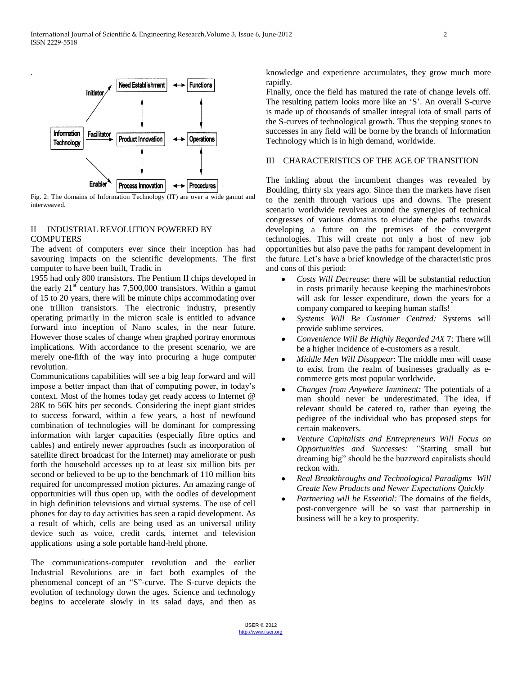

.

Fig. 2: The domains of Information Technology (IT) are over a wide gamut and interweaved.

# II INDUSTRIAL REVOLUTION POWERED BY **COMPUTERS**

The advent of computers ever since their inception has had savouring impacts on the scientific developments. The first computer to have been built, Tradic in

1955 had only 800 transistors. The Pentium II chips developed in the early  $21<sup>st</sup>$  century has 7,500,000 transistors. Within a gamut of 15 to 20 years, there will be minute chips accommodating over one trillion transistors. The electronic industry, presently operating primarily in the micron scale is entitled to advance forward into inception of Nano scales, in the near future. However those scales of change when graphed portray enormous implications. With accordance to the present scenario, we are merely one-fifth of the way into procuring a huge computer revolution.

Communications capabilities will see a big leap forward and will impose a better impact than that of computing power, in today's context. Most of the homes today get ready access to Internet @ 28K to 56K bits per seconds. Considering the inept giant strides to success forward, within a few years, a host of newfound combination of technologies will be dominant for compressing information with larger capacities (especially fibre optics and cables) and entirely newer approaches (such as incorporation of satellite direct broadcast for the Internet) may ameliorate or push forth the household accesses up to at least six million bits per second or believed to be up to the benchmark of 110 million bits required for uncompressed motion pictures. An amazing range of opportunities will thus open up, with the oodles of development in high definition televisions and virtual systems. The use of cell phones for day to day activities has seen a rapid development. As a result of which, cells are being used as an universal utility device such as voice, credit cards, internet and television applications using a sole portable hand-held phone.

The communications-computer revolution and the earlier Industrial Revolutions are in fact both examples of the phenomenal concept of an "S"-curve. The S-curve depicts the evolution of technology down the ages. Science and technology begins to accelerate slowly in its salad days, and then as knowledge and experience accumulates, they grow much more rapidly.

Finally, once the field has matured the rate of change levels off. The resulting pattern looks more like an 'S'. An overall S-curve is made up of thousands of smaller integral iota of small parts of the S-curves of technological growth. Thus the stepping stones to successes in any field will be borne by the branch of Information Technology which is in high demand, worldwide.

# III CHARACTERISTICS OF THE AGE OF TRANSITION

The inkling about the incumbent changes was revealed by Boulding, thirty six years ago. Since then the markets have risen to the zenith through various ups and downs. The present scenario worldwide revolves around the synergies of technical congresses of various domains to elucidate the paths towards developing a future on the premises of the convergent technologies. This will create not only a host of new job opportunities but also pave the paths for rampant development in the future. Let's have a brief knowledge of the characteristic pros and cons of this period:

- *Costs Will Decrease*: there will be substantial reduction in costs primarily because keeping the machines/robots will ask for lesser expenditure, down the years for a company compared to keeping human staffs!
- *Systems Will Be Customer Centred:* Systems will provide sublime services.
- *Convenience Will Be Highly Regarded 24X* 7: There will be a higher incidence of e-customers as a result.
- *Middle Men Will Disappear*: The middle men will cease  $\bullet$ to exist from the realm of businesses gradually as ecommerce gets most popular worldwide.
- *Changes from Anywhere Imminent:* The potentials of a man should never be underestimated. The idea, if relevant should be catered to, rather than eyeing the pedigree of the individual who has proposed steps for certain makeovers.
- *Venture Capitalists and Entrepreneurs Will Focus on Opportunities and Successes: "*Starting small but dreaming big" should be the buzzword capitalists should reckon with.
- *Real Breakthroughs and Technological Paradigms Will Create New Products and Newer Expectations Quickly*
- *Partnering will be Essential:* The domains of the fields, post-convergence will be so vast that partnership in business will be a key to prosperity.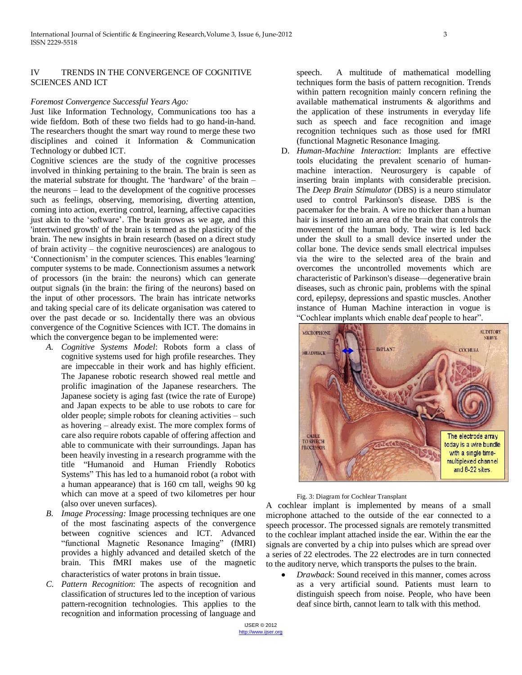# IV TRENDS IN THE CONVERGENCE OF COGNITIVE SCIENCES AND ICT

## *Foremost Convergence Successful Years Ago:*

Just like Information Technology, Communications too has a wide fiefdom. Both of these two fields had to go hand-in-hand. The researchers thought the smart way round to merge these two disciplines and coined it Information & Communication Technology or dubbed ICT.

Cognitive sciences are the study of the cognitive processes involved in thinking pertaining to the brain. The brain is seen as the material substrate for thought. The 'hardware' of the brain  $$ the neurons – lead to the development of the cognitive processes such as feelings, observing, memorising, diverting attention, coming into action, exerting control, learning, affective capacities just akin to the 'software'. The brain grows as we age, and this 'intertwined growth' of the brain is termed as the plasticity of the brain. The new insights in brain research (based on a direct study of brain activity – the cognitive neurosciences) are analogous to ‗Connectionism' in the computer sciences. This enables 'learning' computer systems to be made. Connectionism assumes a network of processors (in the brain: the neurons) which can generate output signals (in the brain: the firing of the neurons) based on the input of other processors. The brain has intricate networks and taking special care of its delicate organisation was catered to over the past decade or so. Incidentally there was an obvious convergence of the Cognitive Sciences with ICT. The domains in which the convergence began to be implemented were:

- *A. Cognitive Systems Model*: Robots form a class of cognitive systems used for high profile researches. They are impeccable in their work and has highly efficient. The Japanese robotic research showed real mettle and prolific imagination of the Japanese researchers. The Japanese society is aging fast (twice the rate of Europe) and Japan expects to be able to use robots to care for older people; simple robots for cleaning activities – such as hovering – already exist. The more complex forms of care also require robots capable of offering affection and able to communicate with their surroundings. Japan has been heavily investing in a research programme with the title "Humanoid and Human Friendly Robotics Systems" This has led to a humanoid robot (a robot with a human appearance) that is 160 cm tall, weighs 90 kg which can move at a speed of two kilometres per hour (also over uneven surfaces).
- *B. Image Processing:* Image processing techniques are one of the most fascinating aspects of the convergence between cognitive sciences and ICT. Advanced "functional Magnetic Resonance Imaging" (fMRI) provides a highly advanced and detailed sketch of the brain. This fMRI makes use of the magnetic characteristics of water protons in brain tissue.
- *C. Pattern Recognition*: The aspects of recognition and classification of structures led to the inception of various pattern-recognition technologies. This applies to the recognition and information processing of language and

speech. A multitude of mathematical modelling techniques form the basis of pattern recognition. Trends within pattern recognition mainly concern refining the available mathematical instruments & algorithms and the application of these instruments in everyday life such as speech and face recognition and image recognition techniques such as those used for fMRI (functional Magnetic Resonance Imaging.

D. *Human-Machine Interaction*: Implants are effective tools elucidating the prevalent scenario of humanmachine interaction. Neurosurgery is capable of inserting brain implants with considerable precision. The *Deep Brain Stimulator* (DBS) is a neuro stimulator used to control Parkinson's disease. DBS is the pacemaker for the brain. A wire no thicker than a human hair is inserted into an area of the brain that controls the movement of the human body. The wire is led back under the skull to a small device inserted under the collar bone. The device sends small electrical impulses via the wire to the selected area of the brain and overcomes the uncontrolled movements which are characteristic of Parkinson's disease—degenerative brain diseases, such as chronic pain, problems with the spinal cord, epilepsy, depressions and spastic muscles. Another instance of Human Machine interaction in vogue is "Cochlear implants which enable deaf people to hear".



#### Fig. 3: Diagram for Cochlear Transplant

A cochlear implant is implemented by means of a small microphone attached to the outside of the ear connected to a speech processor. The processed signals are remotely transmitted to the cochlear implant attached inside the ear. Within the ear the signals are converted by a chip into pulses which are spread over a series of 22 electrodes. The 22 electrodes are in turn connected to the auditory nerve, which transports the pulses to the brain.

*Drawback*: Sound received in this manner, comes across as a very artificial sound. Patients must learn to distinguish speech from noise. People, who have been deaf since birth, cannot learn to talk with this method.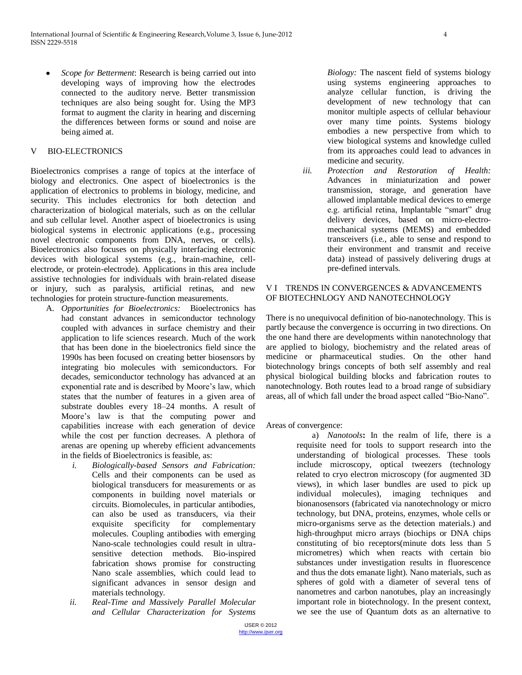*Scope for Betterment*: Research is being carried out into developing ways of improving how the electrodes connected to the auditory nerve. Better transmission techniques are also being sought for. Using the MP3 format to augment the clarity in hearing and discerning the differences between forms or sound and noise are being aimed at.

# V BIO-ELECTRONICS

Bioelectronics comprises a range of topics at the interface of biology and electronics. One aspect of bioelectronics is the application of electronics to problems in biology, medicine, and security. This includes electronics for both detection and characterization of biological materials, such as on the cellular and sub cellular level. Another aspect of bioelectronics is using biological systems in electronic applications (e.g., processing novel electronic components from DNA, nerves, or cells). Bioelectronics also focuses on physically interfacing electronic devices with biological systems (e.g., brain-machine, cellelectrode, or protein-electrode). Applications in this area include assistive technologies for individuals with brain-related disease or injury, such as paralysis, artificial retinas, and new technologies for protein structure-function measurements.

- A. *Opportunities for Bioelectronics:* Bioelectronics has had constant advances in semiconductor technology coupled with advances in surface chemistry and their application to life sciences research. Much of the work that has been done in the bioelectronics field since the 1990s has been focused on creating better biosensors by integrating bio molecules with semiconductors. For decades, semiconductor technology has advanced at an exponential rate and is described by Moore's law, which states that the number of features in a given area of substrate doubles every 18–24 months. A result of Moore's law is that the computing power and capabilities increase with each generation of device while the cost per function decreases. A plethora of arenas are opening up whereby efficient advancements in the fields of Bioelectronics is feasible, as:
	- *i. Biologically-based Sensors and Fabrication:*  Cells and their components can be used as biological transducers for measurements or as components in building novel materials or circuits. Biomolecules, in particular antibodies, can also be used as transducers, via their exquisite specificity for complementary molecules. Coupling antibodies with emerging Nano-scale technologies could result in ultrasensitive detection methods. Bio-inspired fabrication shows promise for constructing Nano scale assemblies, which could lead to significant advances in sensor design and materials technology.
	- *ii. Real-Time and Massively Parallel Molecular and Cellular Characterization for Systems*

*Biology:* The nascent field of systems biology using systems engineering approaches to analyze cellular function, is driving the development of new technology that can monitor multiple aspects of cellular behaviour over many time points. Systems biology embodies a new perspective from which to view biological systems and knowledge culled from its approaches could lead to advances in medicine and security.

*iii. Protection and Restoration of Health:*  Advances in miniaturization and power transmission, storage, and generation have allowed implantable medical devices to emerge e.g. artificial retina, Implantable "smart" drug delivery devices, based on micro-electromechanical systems (MEMS) and embedded transceivers (i.e., able to sense and respond to their environment and transmit and receive data) instead of passively delivering drugs at pre-defined intervals.

# V I TRENDS IN CONVERGENCES & ADVANCEMENTS OF BIOTECHNLOGY AND NANOTECHNOLOGY

There is no unequivocal definition of bio-nanotechnology. This is partly because the convergence is occurring in two directions. On the one hand there are developments within nanotechnology that are applied to biology, biochemistry and the related areas of medicine or pharmaceutical studies. On the other hand biotechnology brings concepts of both self assembly and real physical biological building blocks and fabrication routes to nanotechnology. Both routes lead to a broad range of subsidiary areas, all of which fall under the broad aspect called "Bio-Nano".

Areas of convergence:

a) *Nanotools***:** In the realm of life, there is a requisite need for tools to support research into the understanding of biological processes. These tools include microscopy, optical tweezers (technology related to cryo electron microscopy (for augmented 3D views), in which laser bundles are used to pick up individual molecules), imaging techniques and bionanosensors (fabricated via nanotechnology or micro technology, but DNA, proteins, enzymes, whole cells or micro-organisms serve as the detection materials.) and high-throughput micro arrays (biochips or DNA chips constituting of bio receptors(minute dots less than 5 micrometres) which when reacts with certain bio substances under investigation results in fluorescence and thus the dots emanate light). Nano materials, such as spheres of gold with a diameter of several tens of nanometres and carbon nanotubes, play an increasingly important role in biotechnology. In the present context, we see the use of Quantum dots as an alternative to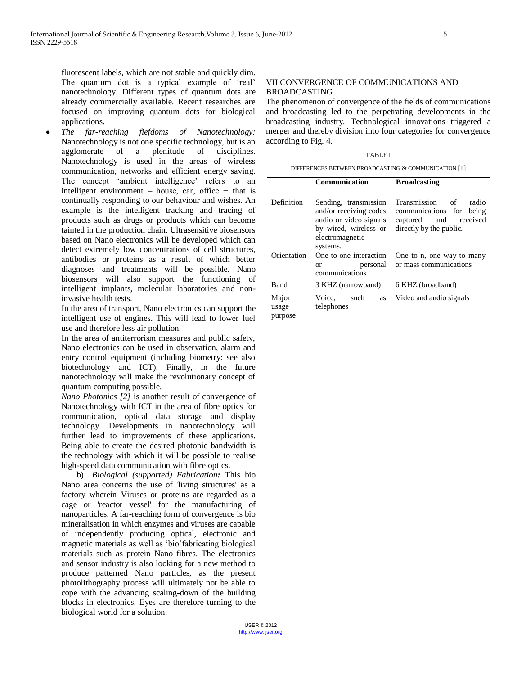fluorescent labels, which are not stable and quickly dim. The quantum dot is a typical example of 'real' nanotechnology. Different types of quantum dots are already commercially available. Recent researches are focused on improving quantum dots for biological applications.

*The far-reaching fiefdoms of Nanotechnology:*  Nanotechnology is not one specific technology, but is an agglomerate of a plenitude of disciplines. Nanotechnology is used in the areas of wireless communication, networks and efficient energy saving. The concept 'ambient intelligence' refers to an intelligent environment – house, car, office – that is continually responding to our behaviour and wishes. An example is the intelligent tracking and tracing of products such as drugs or products which can become tainted in the production chain. Ultrasensitive biosensors based on Nano electronics will be developed which can detect extremely low concentrations of cell structures, antibodies or proteins as a result of which better diagnoses and treatments will be possible. Nano biosensors will also support the functioning of intelligent implants, molecular laboratories and noninvasive health tests.

In the area of transport, Nano electronics can support the intelligent use of engines. This will lead to lower fuel use and therefore less air pollution.

In the area of antiterrorism measures and public safety, Nano electronics can be used in observation, alarm and entry control equipment (including biometry: see also biotechnology and ICT). Finally, in the future nanotechnology will make the revolutionary concept of quantum computing possible.

*Nano Photonics [2]* is another result of convergence of Nanotechnology with ICT in the area of fibre optics for communication, optical data storage and display technology. Developments in nanotechnology will further lead to improvements of these applications. Being able to create the desired photonic bandwidth is the technology with which it will be possible to realise high-speed data communication with fibre optics.

b) *Biological (supported) Fabrication:* This bio Nano area concerns the use of 'living structures' as a factory wherein Viruses or proteins are regarded as a cage or 'reactor vessel' for the manufacturing of nanoparticles. A far-reaching form of convergence is bio mineralisation in which enzymes and viruses are capable of independently producing optical, electronic and magnetic materials as well as 'bio'fabricating biological materials such as protein Nano fibres. The electronics and sensor industry is also looking for a new method to produce patterned Nano particles, as the present photolithography process will ultimately not be able to cope with the advancing scaling-down of the building blocks in electronics. Eyes are therefore turning to the biological world for a solution.

# VII CONVERGENCE OF COMMUNICATIONS AND BROADCASTING

The phenomenon of convergence of the fields of communications and broadcasting led to the perpetrating developments in the broadcasting industry. Technological innovations triggered a merger and thereby division into four categories for convergence according to Fig. 4.

### TABLE I

| DIFFERENCES BETWEEN BROADCASTING & COMMUNICATION [1] |
|------------------------------------------------------|
|------------------------------------------------------|

|                           | Communication                                                                                                                     | <b>Broadcasting</b>                                                                                            |
|---------------------------|-----------------------------------------------------------------------------------------------------------------------------------|----------------------------------------------------------------------------------------------------------------|
| Definition                | Sending, transmission<br>and/or receiving codes<br>audio or video signals<br>by wired, wireless or<br>electromagnetic<br>systems. | Transmission of<br>radio<br>communications for<br>being<br>received<br>captured and<br>directly by the public. |
| Orientation               | One to one interaction<br>personal<br>or<br>communications                                                                        | One to n, one way to many<br>or mass communications                                                            |
| Band                      | 3 KHZ (narrowband)                                                                                                                | 6 KHZ (broadband)                                                                                              |
| Major<br>usage<br>purpose | Voice, such<br><b>as</b><br>telephones                                                                                            | Video and audio signals                                                                                        |